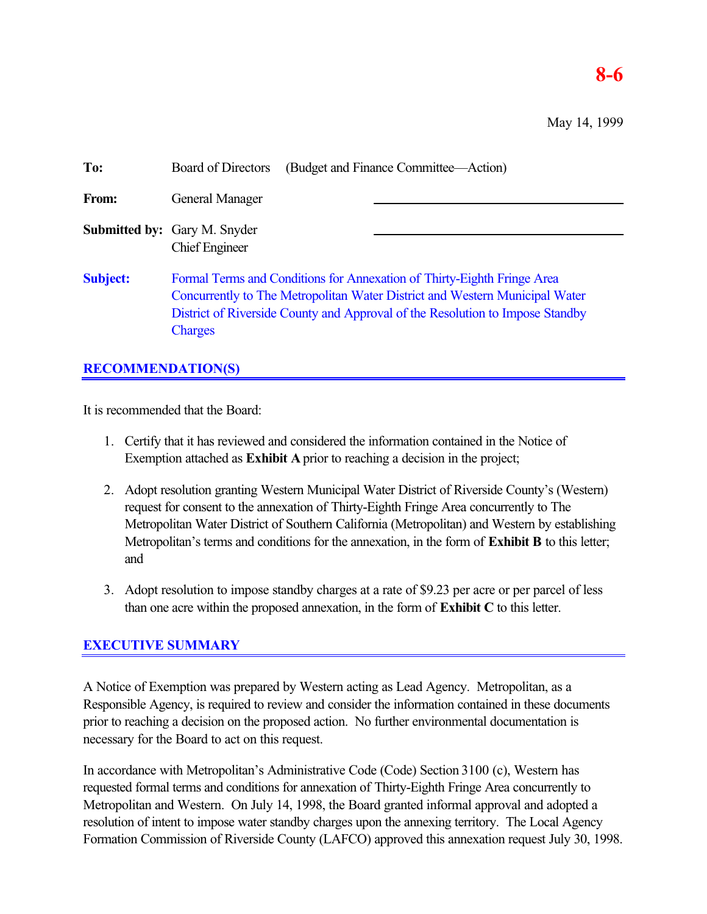# **8-6**

May 14, 1999

| To:             | (Budget and Finance Committee—Action)<br><b>Board of Directors</b>                                                                                                                                                                                 |
|-----------------|----------------------------------------------------------------------------------------------------------------------------------------------------------------------------------------------------------------------------------------------------|
| From:           | General Manager                                                                                                                                                                                                                                    |
|                 | <b>Submitted by:</b> Gary M. Snyder<br><b>Chief Engineer</b>                                                                                                                                                                                       |
| <b>Subject:</b> | Formal Terms and Conditions for Annexation of Thirty-Eighth Fringe Area<br>Concurrently to The Metropolitan Water District and Western Municipal Water<br>District of Riverside County and Approval of the Resolution to Impose Standby<br>Charges |

## **RECOMMENDATION(S)**

It is recommended that the Board:

- 1. Certify that it has reviewed and considered the information contained in the Notice of Exemption attached as **Exhibit A** prior to reaching a decision in the project;
- 2. Adopt resolution granting Western Municipal Water District of Riverside County's (Western) request for consent to the annexation of Thirty-Eighth Fringe Area concurrently to The Metropolitan Water District of Southern California (Metropolitan) and Western by establishing Metropolitan's terms and conditions for the annexation, in the form of **Exhibit B** to this letter; and
- 3. Adopt resolution to impose standby charges at a rate of \$9.23 per acre or per parcel of less than one acre within the proposed annexation, in the form of **Exhibit C** to this letter.

# **EXECUTIVE SUMMARY**

A Notice of Exemption was prepared by Western acting as Lead Agency. Metropolitan, as a Responsible Agency, is required to review and consider the information contained in these documents prior to reaching a decision on the proposed action. No further environmental documentation is necessary for the Board to act on this request.

In accordance with Metropolitan's Administrative Code (Code) Section 3100 (c), Western has requested formal terms and conditions for annexation of Thirty-Eighth Fringe Area concurrently to Metropolitan and Western. On July 14, 1998, the Board granted informal approval and adopted a resolution of intent to impose water standby charges upon the annexing territory. The Local Agency Formation Commission of Riverside County (LAFCO) approved this annexation request July 30, 1998.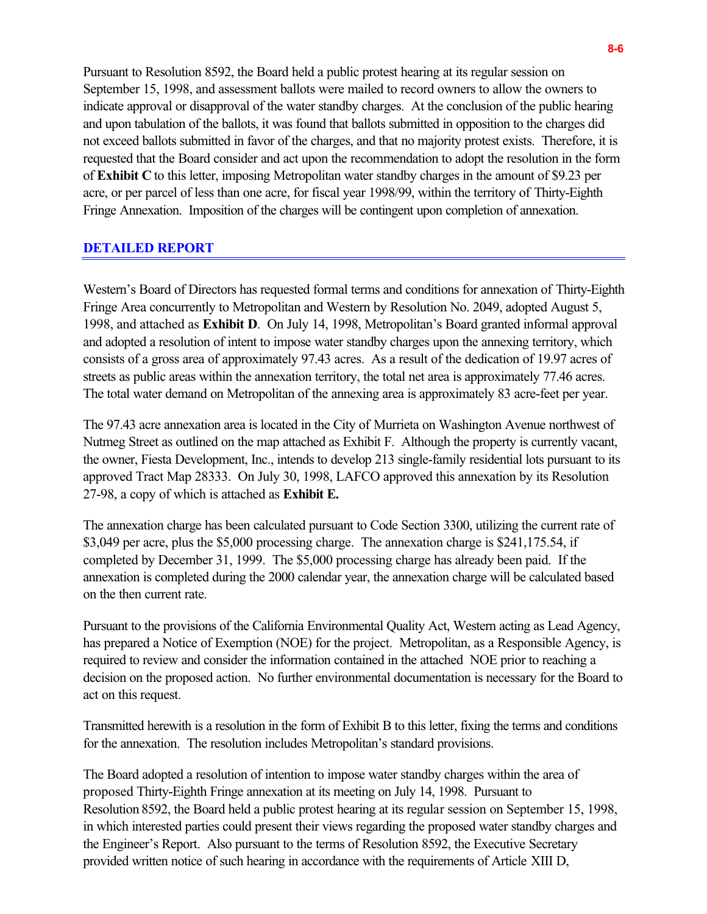Pursuant to Resolution 8592, the Board held a public protest hearing at its regular session on September 15, 1998, and assessment ballots were mailed to record owners to allow the owners to indicate approval or disapproval of the water standby charges. At the conclusion of the public hearing and upon tabulation of the ballots, it was found that ballots submitted in opposition to the charges did not exceed ballots submitted in favor of the charges, and that no majority protest exists. Therefore, it is requested that the Board consider and act upon the recommendation to adopt the resolution in the form of **Exhibit C** to this letter, imposing Metropolitan water standby charges in the amount of \$9.23 per acre, or per parcel of less than one acre, for fiscal year 1998/99, within the territory of Thirty-Eighth Fringe Annexation. Imposition of the charges will be contingent upon completion of annexation.

### **DETAILED REPORT**

Western's Board of Directors has requested formal terms and conditions for annexation of Thirty-Eighth Fringe Area concurrently to Metropolitan and Western by Resolution No. 2049, adopted August 5, 1998, and attached as **Exhibit D**. On July 14, 1998, Metropolitan's Board granted informal approval and adopted a resolution of intent to impose water standby charges upon the annexing territory, which consists of a gross area of approximately 97.43 acres. As a result of the dedication of 19.97 acres of streets as public areas within the annexation territory, the total net area is approximately 77.46 acres. The total water demand on Metropolitan of the annexing area is approximately 83 acre-feet per year.

The 97.43 acre annexation area is located in the City of Murrieta on Washington Avenue northwest of Nutmeg Street as outlined on the map attached as Exhibit F. Although the property is currently vacant, the owner, Fiesta Development, Inc., intends to develop 213 single-family residential lots pursuant to its approved Tract Map 28333. On July 30, 1998, LAFCO approved this annexation by its Resolution 27-98, a copy of which is attached as **Exhibit E.**

The annexation charge has been calculated pursuant to Code Section 3300, utilizing the current rate of \$3,049 per acre, plus the \$5,000 processing charge. The annexation charge is \$241,175.54, if completed by December 31, 1999. The \$5,000 processing charge has already been paid. If the annexation is completed during the 2000 calendar year, the annexation charge will be calculated based on the then current rate.

Pursuant to the provisions of the California Environmental Quality Act, Western acting as Lead Agency, has prepared a Notice of Exemption (NOE) for the project. Metropolitan, as a Responsible Agency, is required to review and consider the information contained in the attached NOE prior to reaching a decision on the proposed action. No further environmental documentation is necessary for the Board to act on this request.

Transmitted herewith is a resolution in the form of Exhibit B to this letter, fixing the terms and conditions for the annexation. The resolution includes Metropolitan's standard provisions.

The Board adopted a resolution of intention to impose water standby charges within the area of proposed Thirty-Eighth Fringe annexation at its meeting on July 14, 1998. Pursuant to Resolution 8592, the Board held a public protest hearing at its regular session on September 15, 1998, in which interested parties could present their views regarding the proposed water standby charges and the Engineer's Report. Also pursuant to the terms of Resolution 8592, the Executive Secretary provided written notice of such hearing in accordance with the requirements of Article XIII D,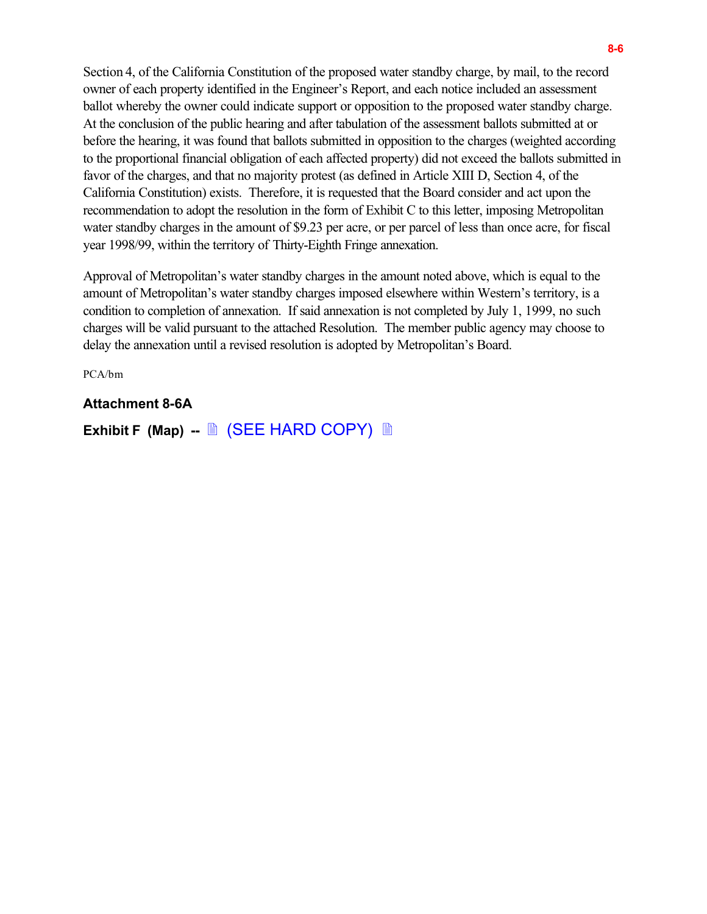Section 4, of the California Constitution of the proposed water standby charge, by mail, to the record owner of each property identified in the Engineer's Report, and each notice included an assessment ballot whereby the owner could indicate support or opposition to the proposed water standby charge. At the conclusion of the public hearing and after tabulation of the assessment ballots submitted at or before the hearing, it was found that ballots submitted in opposition to the charges (weighted according to the proportional financial obligation of each affected property) did not exceed the ballots submitted in favor of the charges, and that no majority protest (as defined in Article XIII D, Section 4, of the California Constitution) exists. Therefore, it is requested that the Board consider and act upon the recommendation to adopt the resolution in the form of Exhibit C to this letter, imposing Metropolitan water standby charges in the amount of \$9.23 per acre, or per parcel of less than once acre, for fiscal year 1998/99, within the territory of Thirty-Eighth Fringe annexation.

Approval of Metropolitan's water standby charges in the amount noted above, which is equal to the amount of Metropolitan's water standby charges imposed elsewhere within Western's territory, is a condition to completion of annexation. If said annexation is not completed by July 1, 1999, no such charges will be valid pursuant to the attached Resolution. The member public agency may choose to delay the annexation until a revised resolution is adopted by Metropolitan's Board.

PCA/bm

### **Attachment 8-6A**

**Exhibit F (Map) -- A (SEE HARD COPY)** A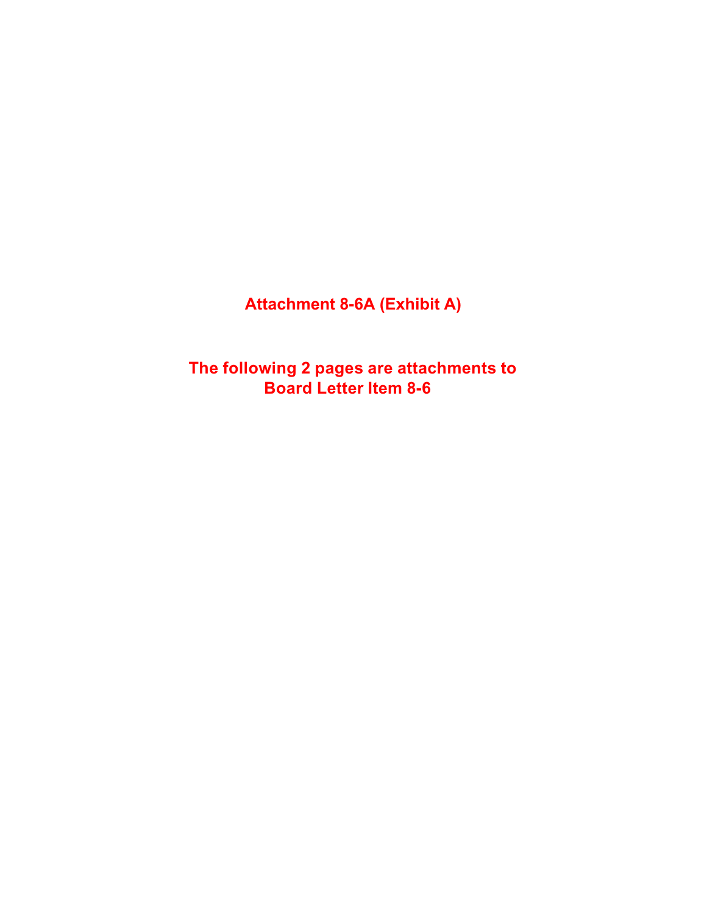**Attachment 8-6A (Exhibit A)**

**The following 2 pages are attachments to Board Letter Item 8-6**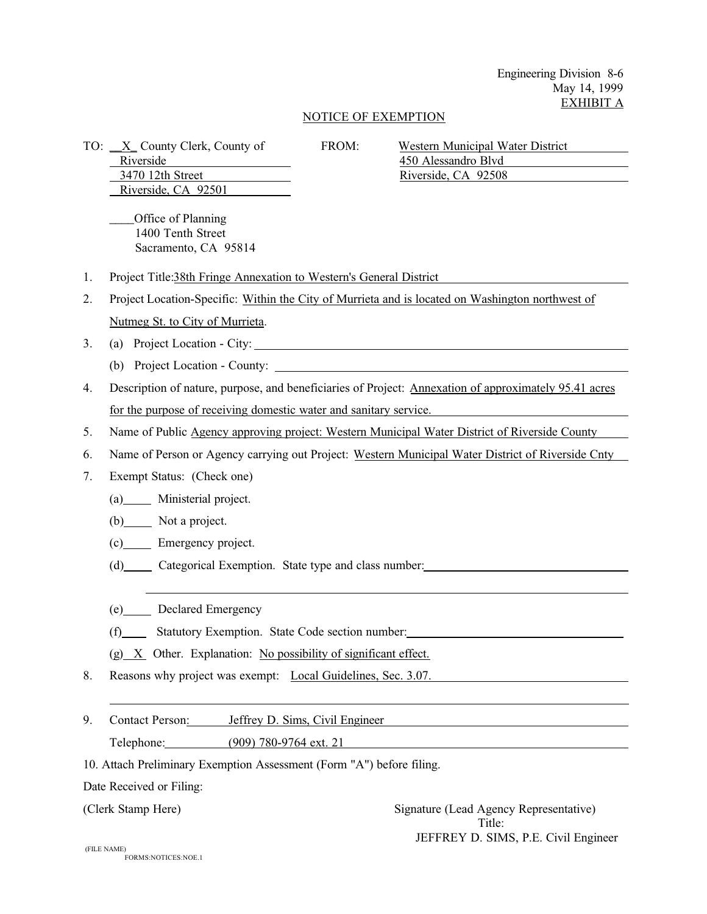Engineering Division 8-6 May 14, 1999 EXHIBIT A

#### NOTICE OF EXEMPTION

Riverside, CA 92501

\_\_\_\_Office of Planning 1400 Tenth Street Sacramento, CA 95814

TO: <u>X</u> County Clerk, County of FROM: Western Municipal Water District Riverside 450 Alessandro Blvd 3470 12th Street Riverside, CA 92508

- 1.Project Title:38th Fringe Annexation to Western's General District
- 2. Project Location-Specific: Within the City of Murrieta and is located on Washington northwest of Nutmeg St. to City of Murrieta.
- 3.(a) Project Location City:
	- (b) Project Location County:
- 4.Description of nature, purpose, and beneficiaries of Project: Annexation of approximately 95.41 acres for the purpose of receiving domestic water and sanitary service.
- 5. Name of Public Agency approving project: Western Municipal Water District of Riverside County
- 6.Name of Person or Agency carrying out Project: Western Municipal Water District of Riverside Cnty
- 7.Exempt Status: (Check one)
	- (a) Ministerial project.
	- (b) Not a project.

 $\overline{a}$ 

- (c) Emergency project.
- (d) Categorical Exemption. State type and class number:
- (e) Declared Emergency
- (f) Statutory Exemption. State Code section number:
- $(g)$  X Other. Explanation: No possibility of significant effect.
- 8. Reasons why project was exempt: Local Guidelines, Sec. 3.07.
- 9.Contact Person: Jeffrey D. Sims, Civil Engineer Telephone: (909) 780-9764 ext. 21
- 10. Attach Preliminary Exemption Assessment (Form "A") before filing.

Date Received or Filing:

 $\overline{a}$ 

(Clerk Stamp Here) Signature (Lead Agency Representative) Title: JEFFREY D. SIMS, P.E. Civil Engineer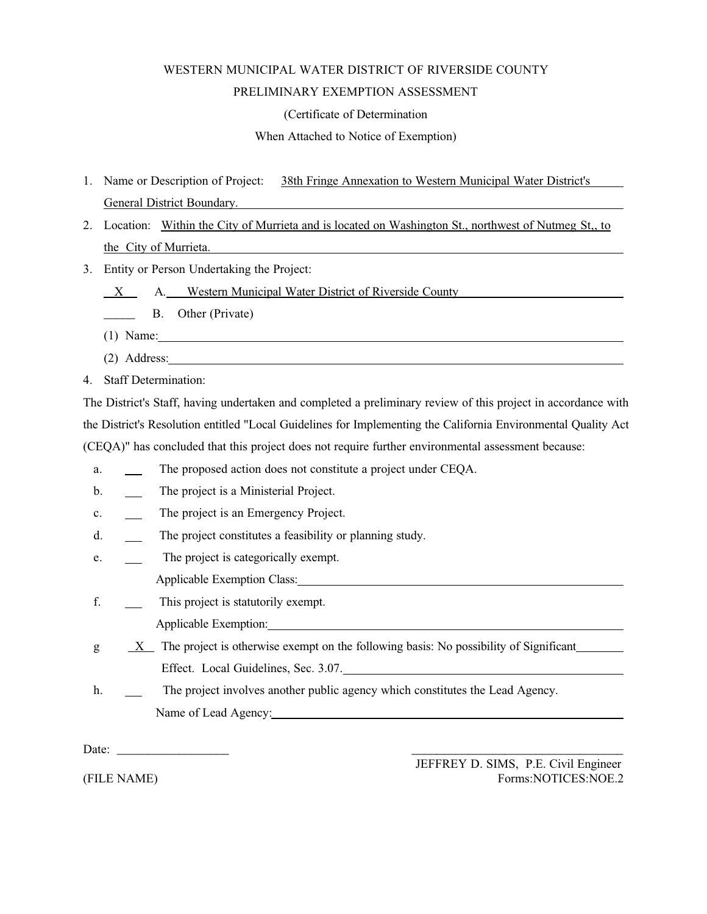# WESTERN MUNICIPAL WATER DISTRICT OF RIVERSIDE COUNTY PRELIMINARY EXEMPTION ASSESSMENT

(Certificate of Determination

When Attached to Notice of Exemption)

- 1. Name or Description of Project: 38th Fringe Annexation to Western Municipal Water District's General District Boundary.
- 2. Location: Within the City of Murrieta and is located on Washington St., northwest of Nutmeg St,, to the City of Murrieta.
- 3.Entity or Person Undertaking the Project:
	- X A. Western Municipal Water District of Riverside County
	- B. Other (Private)
	- (1) Name:
	- (2) Address:
- 4.Staff Determination:

The District's Staff, having undertaken and completed a preliminary review of this project in accordance with the District's Resolution entitled "Local Guidelines for Implementing the California Environmental Quality Act (CEQA)" has concluded that this project does not require further environmental assessment because:

- a. The proposed action does not constitute a project under CEQA.
- b. The project is a Ministerial Project.
- c. The project is an Emergency Project.
- d. The project constitutes a feasibility or planning study.
- e. The project is categorically exempt.
	- Applicable Exemption Class:
- f. This project is statutorily exempt.

Applicable Exemption:

- $g = X$  The project is otherwise exempt on the following basis: No possibility of Significant Effect. Local Guidelines, Sec. 3.07.
- h. The project involves another public agency which constitutes the Lead Agency. Name of Lead Agency:

Date:

JEFFREY D. SIMS, P.E. Civil Engineer (FILE NAME) Forms:NOTICES:NOE.2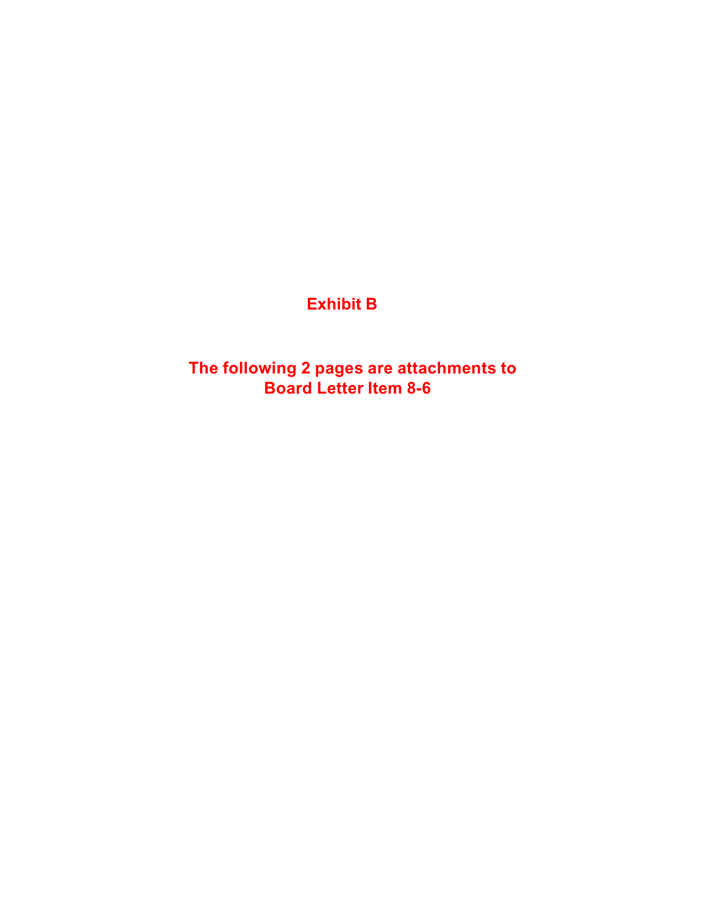# **Exhibit B**

**The following 2 pages are attachments to Board Letter Item 8-6**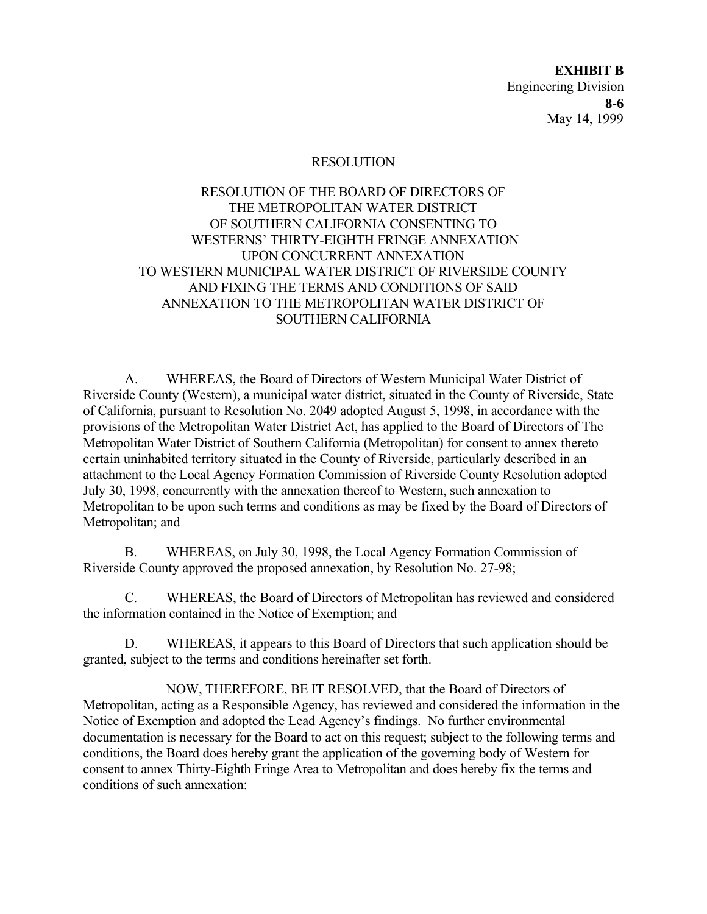**EXHIBIT B** Engineering Division May 14, 1999 **8-6**

#### RESOLUTION

### RESOLUTION OF THE BOARD OF DIRECTORS OF THE METROPOLITAN WATER DISTRICT OF SOUTHERN CALIFORNIA CONSENTING TO WESTERNS' THIRTY-EIGHTH FRINGE ANNEXATION UPON CONCURRENT ANNEXATION TO WESTERN MUNICIPAL WATER DISTRICT OF RIVERSIDE COUNTY AND FIXING THE TERMS AND CONDITIONS OF SAID ANNEXATION TO THE METROPOLITAN WATER DISTRICT OF SOUTHERN CALIFORNIA

A.WHEREAS, the Board of Directors of Western Municipal Water District of Riverside County (Western), a municipal water district, situated in the County of Riverside, State of California, pursuant to Resolution No. 2049 adopted August 5, 1998, in accordance with the provisions of the Metropolitan Water District Act, has applied to the Board of Directors of The Metropolitan Water District of Southern California (Metropolitan) for consent to annex thereto certain uninhabited territory situated in the County of Riverside, particularly described in an attachment to the Local Agency Formation Commission of Riverside County Resolution adopted July 30, 1998, concurrently with the annexation thereof to Western, such annexation to Metropolitan to be upon such terms and conditions as may be fixed by the Board of Directors of Metropolitan; and

B.WHEREAS, on July 30, 1998, the Local Agency Formation Commission of Riverside County approved the proposed annexation, by Resolution No. 27-98;

C.WHEREAS, the Board of Directors of Metropolitan has reviewed and considered the information contained in the Notice of Exemption; and

D.WHEREAS, it appears to this Board of Directors that such application should be granted, subject to the terms and conditions hereinafter set forth.

NOW, THEREFORE, BE IT RESOLVED, that the Board of Directors of Metropolitan, acting as a Responsible Agency, has reviewed and considered the information in the Notice of Exemption and adopted the Lead Agency's findings. No further environmental documentation is necessary for the Board to act on this request; subject to the following terms and conditions, the Board does hereby grant the application of the governing body of Western for consent to annex Thirty-Eighth Fringe Area to Metropolitan and does hereby fix the terms and conditions of such annexation: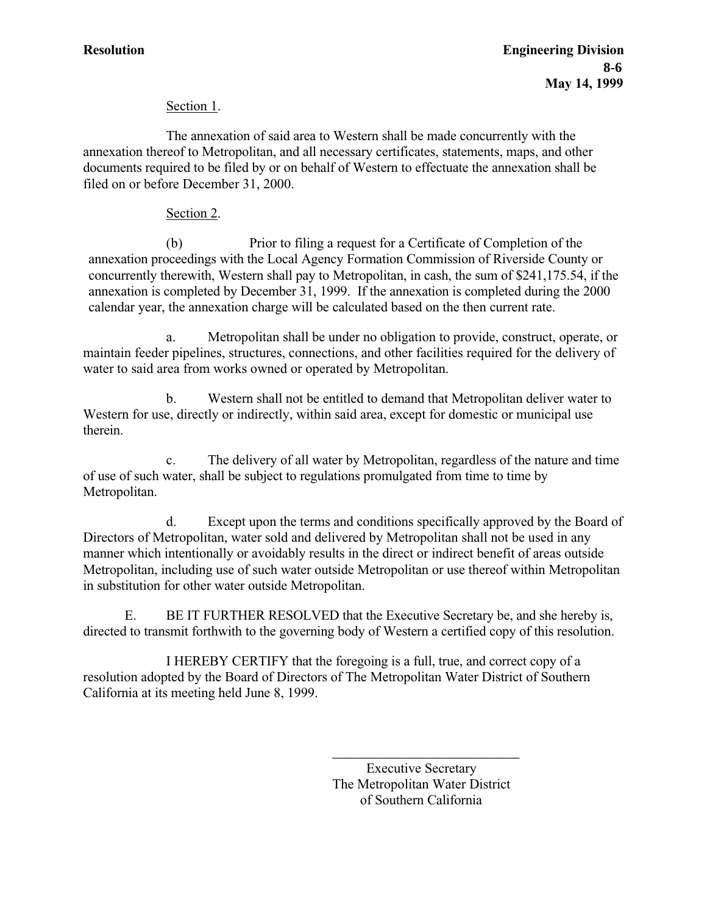### Section 1.

The annexation of said area to Western shall be made concurrently with the annexation thereof to Metropolitan, and all necessary certificates, statements, maps, and other documents required to be filed by or on behalf of Western to effectuate the annexation shall be filed on or before December 31, 2000.

### Section 2.

(b) Prior to filing a request for a Certificate of Completion of the annexation proceedings with the Local Agency Formation Commission of Riverside County or concurrently therewith, Western shall pay to Metropolitan, in cash, the sum of \$241,175.54, if the annexation is completed by December 31, 1999. If the annexation is completed during the 2000 calendar year, the annexation charge will be calculated based on the then current rate.

a.Metropolitan shall be under no obligation to provide, construct, operate, or maintain feeder pipelines, structures, connections, and other facilities required for the delivery of water to said area from works owned or operated by Metropolitan.

b.Western shall not be entitled to demand that Metropolitan deliver water to Western for use, directly or indirectly, within said area, except for domestic or municipal use therein.

c.The delivery of all water by Metropolitan, regardless of the nature and time of use of such water, shall be subject to regulations promulgated from time to time by Metropolitan.

d.Except upon the terms and conditions specifically approved by the Board of Directors of Metropolitan, water sold and delivered by Metropolitan shall not be used in any manner which intentionally or avoidably results in the direct or indirect benefit of areas outside Metropolitan, including use of such water outside Metropolitan or use thereof within Metropolitan in substitution for other water outside Metropolitan.

E. BE IT FURTHER RESOLVED that the Executive Secretary be, and she hereby is, directed to transmit forthwith to the governing body of Western a certified copy of this resolution.

I HEREBY CERTIFY that the foregoing is a full, true, and correct copy of a resolution adopted by the Board of Directors of The Metropolitan Water District of Southern California at its meeting held June 8, 1999.

> Executive Secretary The Metropolitan Water District of Southern California

\_\_\_\_\_\_\_\_\_\_\_\_\_\_\_\_\_\_\_\_\_\_\_\_\_\_\_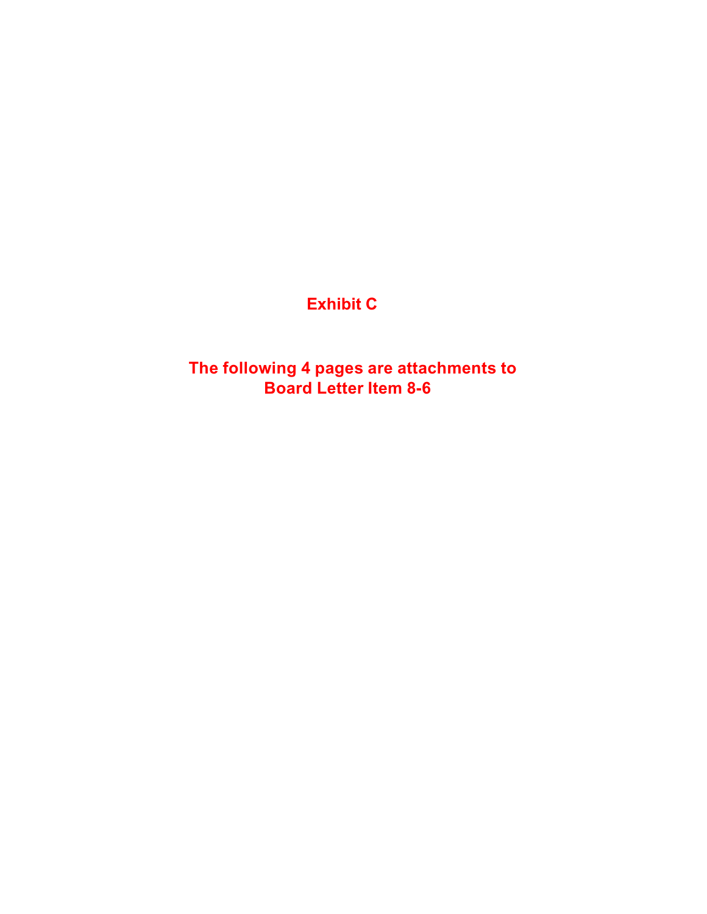# **Exhibit C**

**The following 4 pages are attachments to Board Letter Item 8-6**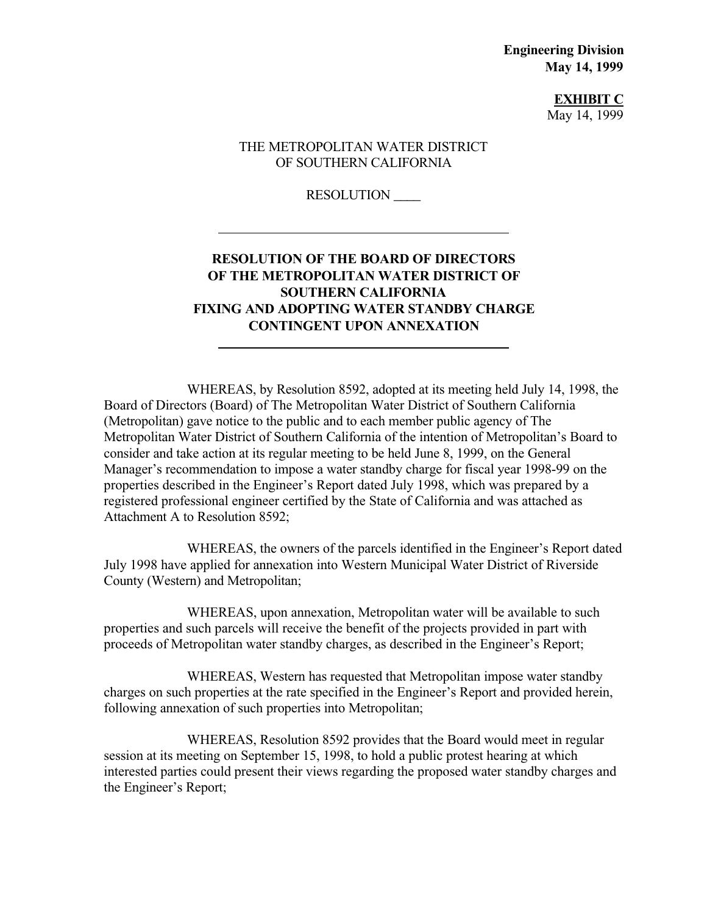**Engineering Division May 14, 1999**

> **EXHIBIT C** May 14, 1999

### THE METROPOLITAN WATER DISTRICT OF SOUTHERN CALIFORNIA

RESOLUTION \_\_\_\_

 $\overline{a}$ 

 $\overline{a}$ 

### **RESOLUTION OF THE BOARD OF DIRECTORS OF THE METROPOLITAN WATER DISTRICT OF SOUTHERN CALIFORNIA FIXING AND ADOPTING WATER STANDBY CHARGE CONTINGENT UPON ANNEXATION**

WHEREAS, by Resolution 8592, adopted at its meeting held July 14, 1998, the Board of Directors (Board) of The Metropolitan Water District of Southern California (Metropolitan) gave notice to the public and to each member public agency of The Metropolitan Water District of Southern California of the intention of Metropolitan's Board to consider and take action at its regular meeting to be held June 8, 1999, on the General Manager's recommendation to impose a water standby charge for fiscal year 1998-99 on the properties described in the Engineer's Report dated July 1998, which was prepared by a registered professional engineer certified by the State of California and was attached as Attachment A to Resolution 8592;

WHEREAS, the owners of the parcels identified in the Engineer's Report dated July 1998 have applied for annexation into Western Municipal Water District of Riverside County (Western) and Metropolitan;

WHEREAS, upon annexation, Metropolitan water will be available to such properties and such parcels will receive the benefit of the projects provided in part with proceeds of Metropolitan water standby charges, as described in the Engineer's Report;

WHEREAS, Western has requested that Metropolitan impose water standby charges on such properties at the rate specified in the Engineer's Report and provided herein, following annexation of such properties into Metropolitan;

WHEREAS, Resolution 8592 provides that the Board would meet in regular session at its meeting on September 15, 1998, to hold a public protest hearing at which interested parties could present their views regarding the proposed water standby charges and the Engineer's Report;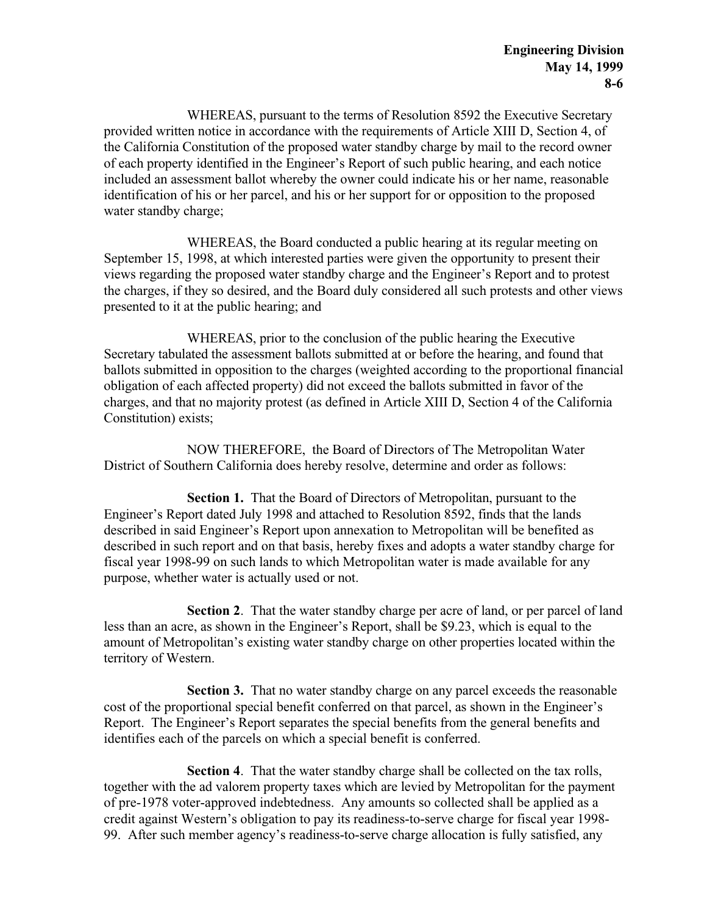WHEREAS, pursuant to the terms of Resolution 8592 the Executive Secretary provided written notice in accordance with the requirements of Article XIII D, Section 4, of the California Constitution of the proposed water standby charge by mail to the record owner of each property identified in the Engineer's Report of such public hearing, and each notice included an assessment ballot whereby the owner could indicate his or her name, reasonable identification of his or her parcel, and his or her support for or opposition to the proposed water standby charge:

WHEREAS, the Board conducted a public hearing at its regular meeting on September 15, 1998, at which interested parties were given the opportunity to present their views regarding the proposed water standby charge and the Engineer's Report and to protest the charges, if they so desired, and the Board duly considered all such protests and other views presented to it at the public hearing; and

WHEREAS, prior to the conclusion of the public hearing the Executive Secretary tabulated the assessment ballots submitted at or before the hearing, and found that ballots submitted in opposition to the charges (weighted according to the proportional financial obligation of each affected property) did not exceed the ballots submitted in favor of the charges, and that no majority protest (as defined in Article XIII D, Section 4 of the California Constitution) exists;

NOW THEREFORE, the Board of Directors of The Metropolitan Water District of Southern California does hereby resolve, determine and order as follows:

**Section 1.** That the Board of Directors of Metropolitan, pursuant to the Engineer's Report dated July 1998 and attached to Resolution 8592, finds that the lands described in said Engineer's Report upon annexation to Metropolitan will be benefited as described in such report and on that basis, hereby fixes and adopts a water standby charge for fiscal year 1998-99 on such lands to which Metropolitan water is made available for any purpose, whether water is actually used or not.

**Section 2**. That the water standby charge per acre of land, or per parcel of land less than an acre, as shown in the Engineer's Report, shall be \$9.23, which is equal to the amount of Metropolitan's existing water standby charge on other properties located within the territory of Western.

**Section 3.** That no water standby charge on any parcel exceeds the reasonable cost of the proportional special benefit conferred on that parcel, as shown in the Engineer's Report. The Engineer's Report separates the special benefits from the general benefits and identifies each of the parcels on which a special benefit is conferred.

**Section 4**. That the water standby charge shall be collected on the tax rolls, together with the ad valorem property taxes which are levied by Metropolitan for the payment of pre-1978 voter-approved indebtedness. Any amounts so collected shall be applied as a credit against Western's obligation to pay its readiness-to-serve charge for fiscal year 1998- 99. After such member agency's readiness-to-serve charge allocation is fully satisfied, any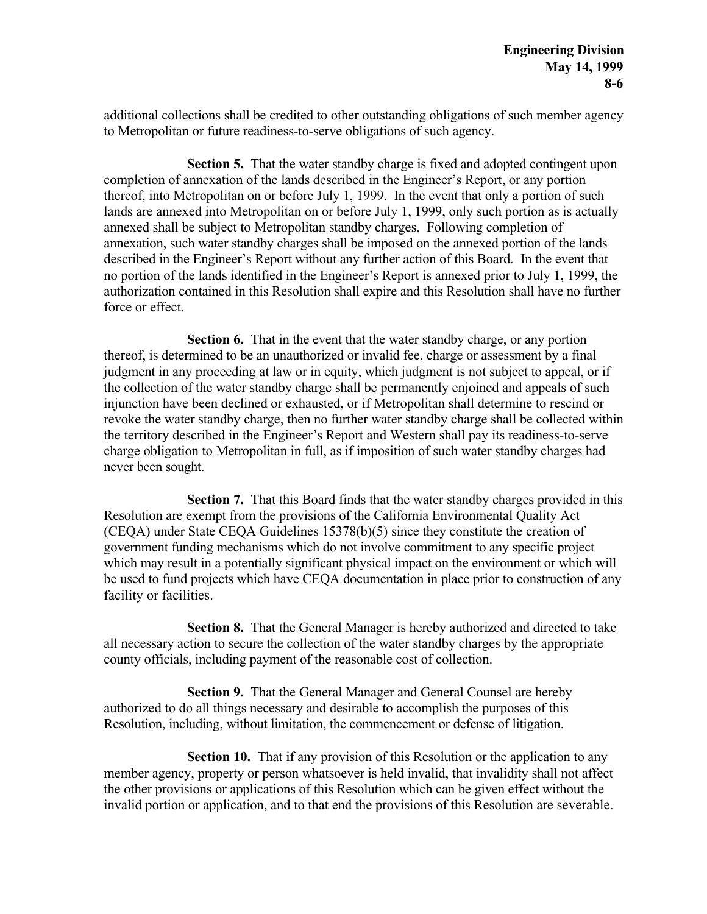additional collections shall be credited to other outstanding obligations of such member agency to Metropolitan or future readiness-to-serve obligations of such agency.

**Section 5.** That the water standby charge is fixed and adopted contingent upon completion of annexation of the lands described in the Engineer's Report, or any portion thereof, into Metropolitan on or before July 1, 1999. In the event that only a portion of such lands are annexed into Metropolitan on or before July 1, 1999, only such portion as is actually annexed shall be subject to Metropolitan standby charges. Following completion of annexation, such water standby charges shall be imposed on the annexed portion of the lands described in the Engineer's Report without any further action of this Board. In the event that no portion of the lands identified in the Engineer's Report is annexed prior to July 1, 1999, the authorization contained in this Resolution shall expire and this Resolution shall have no further force or effect.

**Section 6.** That in the event that the water standby charge, or any portion thereof, is determined to be an unauthorized or invalid fee, charge or assessment by a final judgment in any proceeding at law or in equity, which judgment is not subject to appeal, or if the collection of the water standby charge shall be permanently enjoined and appeals of such injunction have been declined or exhausted, or if Metropolitan shall determine to rescind or revoke the water standby charge, then no further water standby charge shall be collected within the territory described in the Engineer's Report and Western shall pay its readiness-to-serve charge obligation to Metropolitan in full, as if imposition of such water standby charges had never been sought.

**Section 7.** That this Board finds that the water standby charges provided in this Resolution are exempt from the provisions of the California Environmental Quality Act (CEQA) under State CEQA Guidelines 15378(b)(5) since they constitute the creation of government funding mechanisms which do not involve commitment to any specific project which may result in a potentially significant physical impact on the environment or which will be used to fund projects which have CEQA documentation in place prior to construction of any facility or facilities.

**Section 8.** That the General Manager is hereby authorized and directed to take all necessary action to secure the collection of the water standby charges by the appropriate county officials, including payment of the reasonable cost of collection.

**Section 9.** That the General Manager and General Counsel are hereby authorized to do all things necessary and desirable to accomplish the purposes of this Resolution, including, without limitation, the commencement or defense of litigation.

**Section 10.** That if any provision of this Resolution or the application to any member agency, property or person whatsoever is held invalid, that invalidity shall not affect the other provisions or applications of this Resolution which can be given effect without the invalid portion or application, and to that end the provisions of this Resolution are severable.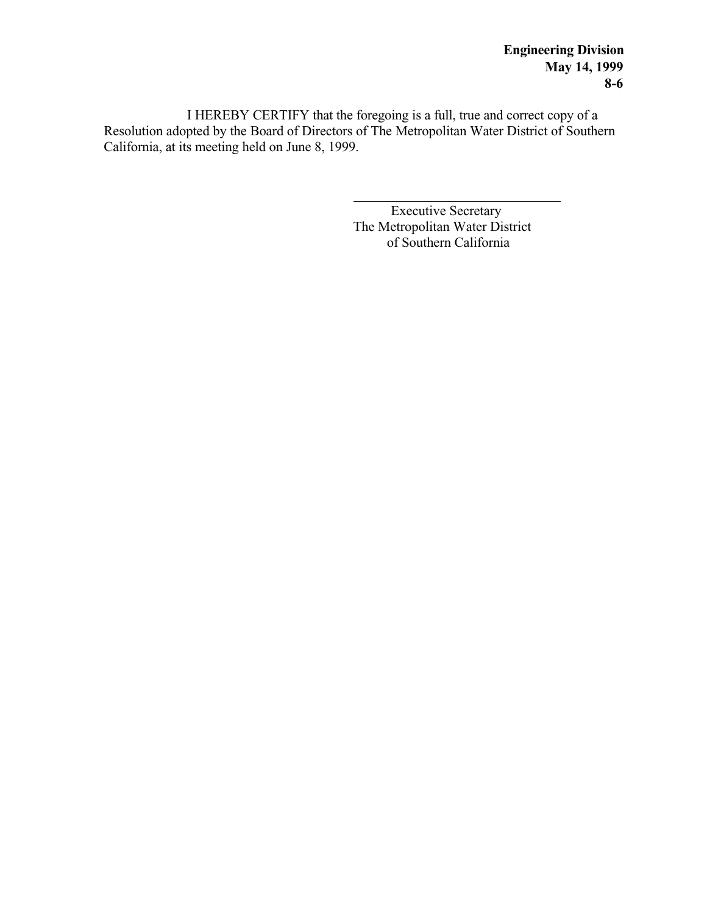I HEREBY CERTIFY that the foregoing is a full, true and correct copy of a Resolution adopted by the Board of Directors of The Metropolitan Water District of Southern California, at its meeting held on June 8, 1999.

> l Executive Secretary The Metropolitan Water District of Southern California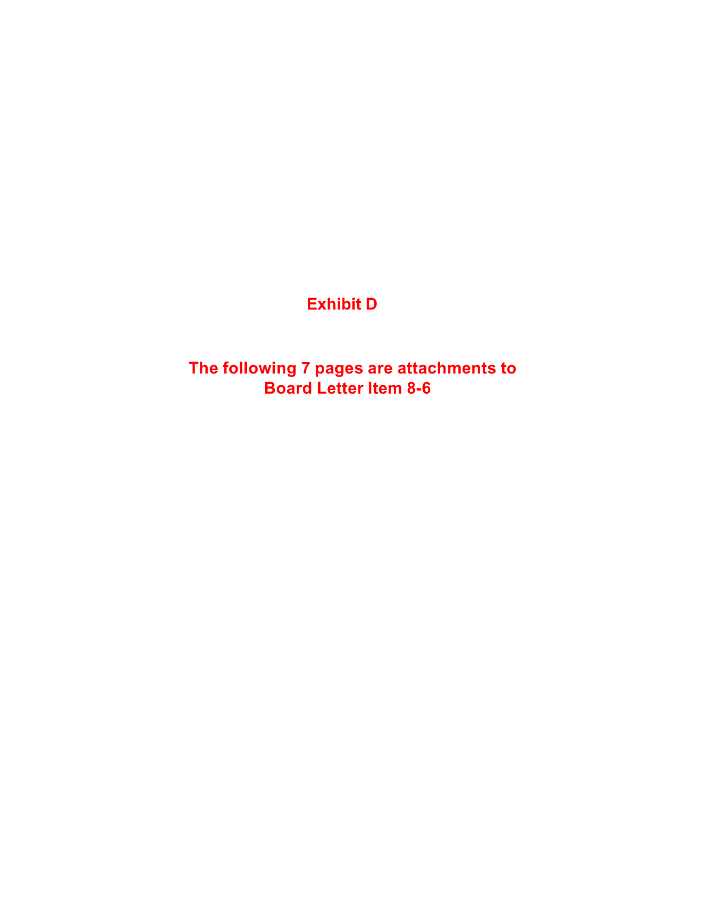# **Exhibit D**

**The following 7 pages are attachments to Board Letter Item 8-6**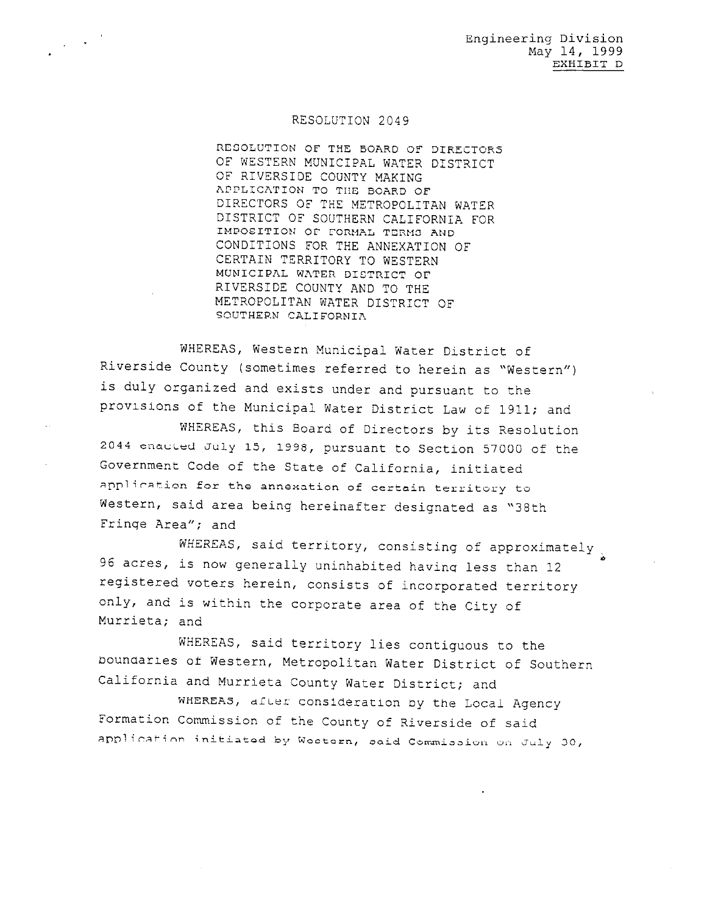#### RESOLUTION 2049

 $\frac{1}{2} \left( \frac{1}{2} \right)^{2}$ 

RESOLUTION OF THE BOARD OF DIRECTORS OF WESTERN MUNICIPAL WATER DISTRICT OF RIVERSIDE COUNTY MAKING APPLICATION TO THE BOARD OF DIRECTORS OF THE METROPOLITAN WATER DISTRICT OF SOUTHERN CALIFORNIA FOR IMPOSITION OF FORMAL TERMS AND CONDITIONS FOR THE ANNEXATION OF CERTAIN TERRITORY TO WESTERN MUNICIPAL WATER DISTRICT OF RIVERSIDE COUNTY AND TO THE METROPOLITAN WATER DISTRICT OF SOUTHERN CALIFORNIA

WHEREAS, Western Municipal Water District of Riverside County (sometimes referred to herein as "Western") is duly organized and exists under and pursuant to the provisions of the Municipal Water District Law of 1911; and

WHEREAS, this Board of Directors by its Resolution 2044 enacted July 15, 1998, pursuant to Section 57000 of the Government Code of the State of California, initiated application for the annexation of certain territory to Western, said area being hereinafter designated as "38th Fringe Area"; and

WHEREAS, said territory, consisting of approximately 96 acres, is now generally uninhabited having less than 12 registered voters herein, consists of incorporated territory only, and is within the corporate area of the City of Murrieta; and

WHEREAS, said territory lies contiguous to the boundaries of Western, Metropolitan Water District of Southern California and Murrieta County Water District; and

WHEREAS, after consideration by the Local Agency Formation Commission of the County of Riverside of said application initiated by Western, said Commission on July 30,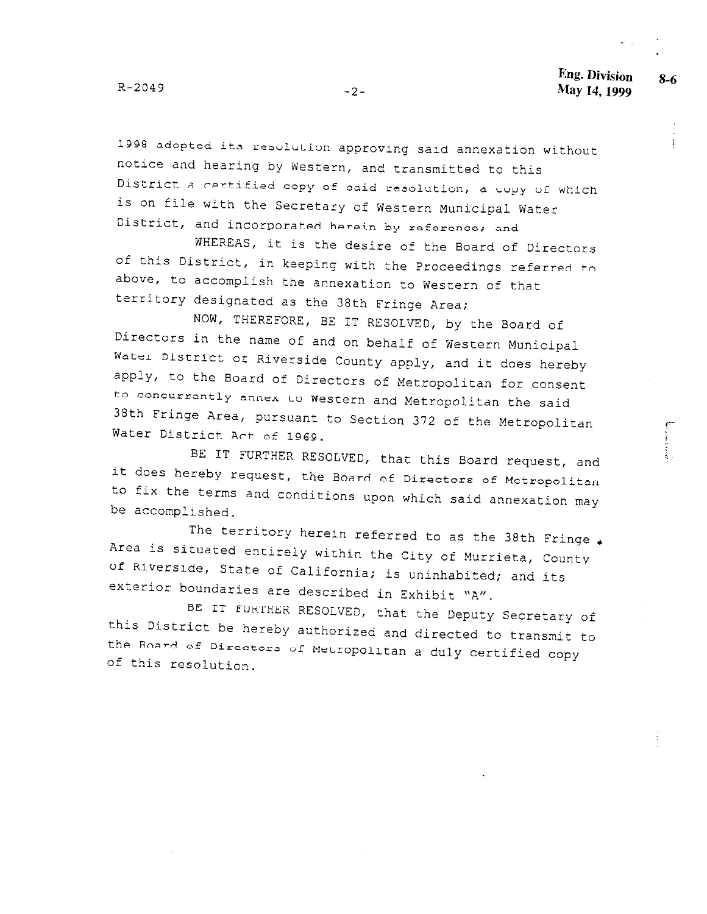$R - 2049$ 

 $-2-$ 

1998 adopted its resolution approving said annexation without notice and hearing by Western, and transmitted to this District a certified copy of said resolution, a copy of which is on file with the Secretary of Western Municipal Water District, and incorporated herein by reference; and

WHEREAS, it is the desire of the Board of Directors of this District, in keeping with the Proceedings referred to above, to accomplish the annexation to Western of that territory designated as the 38th Fringe Area;

NOW, THEREFORE, BE IT RESOLVED, by the Board of Directors in the name of and on behalf of Western Municipal Water District of Riverside County apply, and it does hereby apply, to the Board of Directors of Metropolitan for consent to concurrently annex to Western and Metropolitan the said 38th Fringe Area, pursuant to Section 372 of the Metropolitan Water District Act of 1969.

BE IT FURTHER RESOLVED, that this Board request, and it does hereby request, the Board of Directors of Metropolitan to fix the terms and conditions upon which said annexation may be accomplished.

The territory herein referred to as the 38th Fringe . Area is situated entirely within the City of Murrieta, County of Riverside, State of California; is uninhabited; and its exterior boundaries are described in Exhibit "A".

BE IT FURTHER RESOLVED, that the Deputy Secretary of this District be hereby authorized and directed to transmit to the Board of Directors of Metropolitan a duly certified copy of this resolution.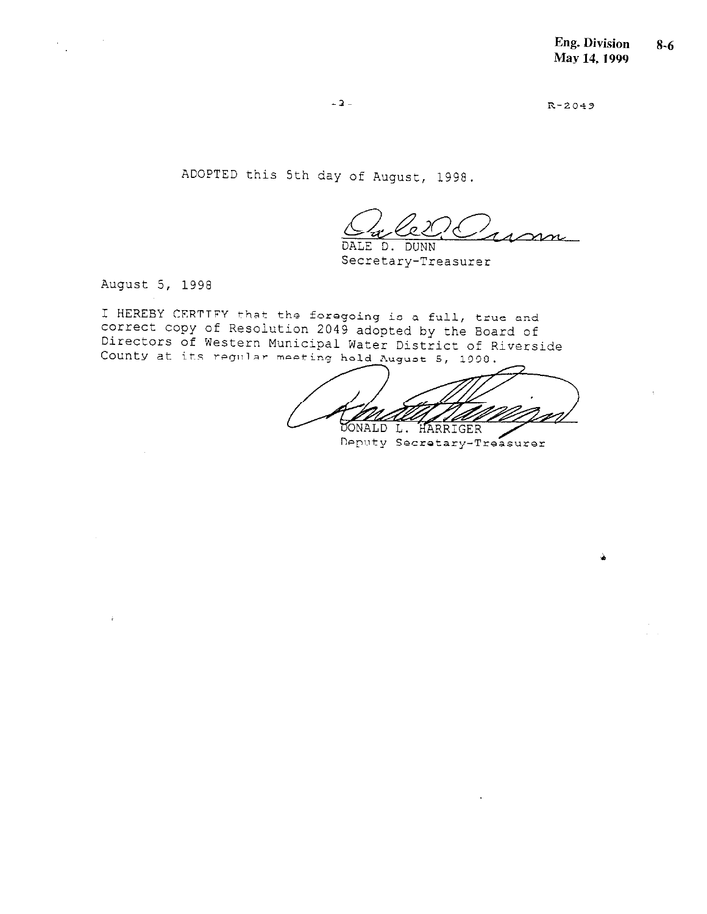$R - 2049$ 

ADOPTED this 5th day of August, 1998.

 $\infty$ DALE D. DUNN

Secretary-Treasurer

August 5, 1998

 $\sim 10^{10}$ 

 $\mathcal{F}_{\mathcal{A}}$ 

I HEREBY CERTIFY that the foregoing is a full, true and correct copy of Resolution 2049 adopted by the Board of<br>Directors of Western Municipal Water District of Riverside County at its regular meeting held August 5, 1998.

76 DONALD L. HARRIGER Deputy Secretary-Treasurer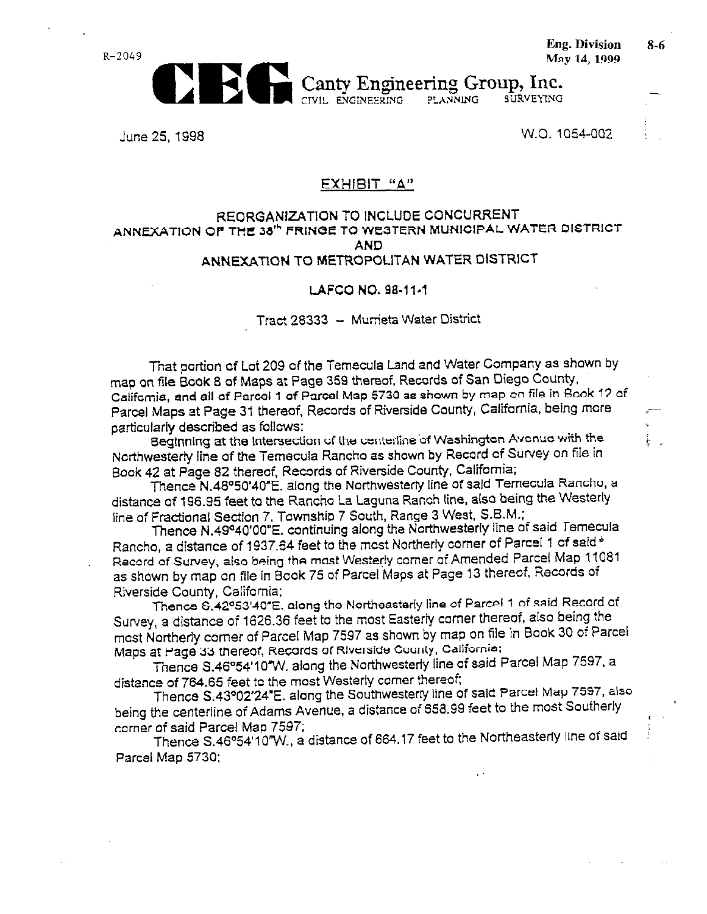$R - 2049$ 



**Eng. Division** May 14, 1999

**SURVEYING** CIVIL ENGINEERING **PLANNING** 

June 25, 1998

**EX** 

W.O. 1054-002

#### EXHIBIT "A"

#### REORGANIZATION TO INCLUDE CONCURRENT ANNEXATION OF THE 38<sup>th</sup> FRINGE TO WESTERN MUNICIPAL WATER DISTRICT **AND** ANNEXATION TO METROPOLITAN WATER DISTRICT

#### LAFCO NO. 98-11-1

#### Tract 28333 - Murrieta Water District

That portion of Lot 209 of the Temecula Land and Water Company as shown by map on file Book 8 of Maps at Page 359 thereof, Records of San Diego County, California, and all of Parcel 1 of Parcel Map 5730 as shown by map on file in Book 12 of Parcel Maps at Page 31 thereof, Records of Riverside County, California, being more particularly described as follows:

Beginning at the intersection of the centerline of Washington Avenue with the Northwesterly line of the Temecula Rancho as shown by Record of Survey on file in Book 42 at Page 82 thereof, Records of Riverside County, California;

Thence N.48°50'40"E. along the Northwesterly line of said Ternecula Rancho, a distance of 196.95 feet to the Rancho La Laguna Ranch line, also being the Westerly line of Fractional Section 7, Township 7 South, Range 3 West, S.B.M.;

Thence N.49°40'00"E. continuing along the Northwesterly line of said Temecula Rancho, a distance of 1937.64 feet to the most Northerly corner of Parcel 1 of said \* Record of Survey, also being the most Westerly comer of Amended Parcel Map 11081 as shown by map on file in Book 75 of Parcel Maps at Page 13 thereof, Records of Riverside County, California;

Thence S.42º53'40"E, along the Northeasterly line of Parcel 1 of said Record of Survey, a distance of 1626.36 feet to the most Easterly corner thereof, also being the most Northerly corner of Parcel Map 7597 as shown by map on file in Book 30 of Parcel Maps at Page 33 thereof, Records of Riverside County, California;

Thence S.46°54'10"W, along the Northwesterly line of said Parcel Map 7597, a distance of 764.65 feet to the most Westerly comer thereof;

Thence S.43°02'24"E. along the Southwesterly line of said Parcel Map 7597, also being the centerline of Adams Avenue, a distance of 658.99 feet to the most Southerly corner of said Parcel Map 7597;

Thence S.46°54'10"W., a distance of 664.17 feet to the Northeasterly line of said Parcel Map 5730:

 $8 - 6$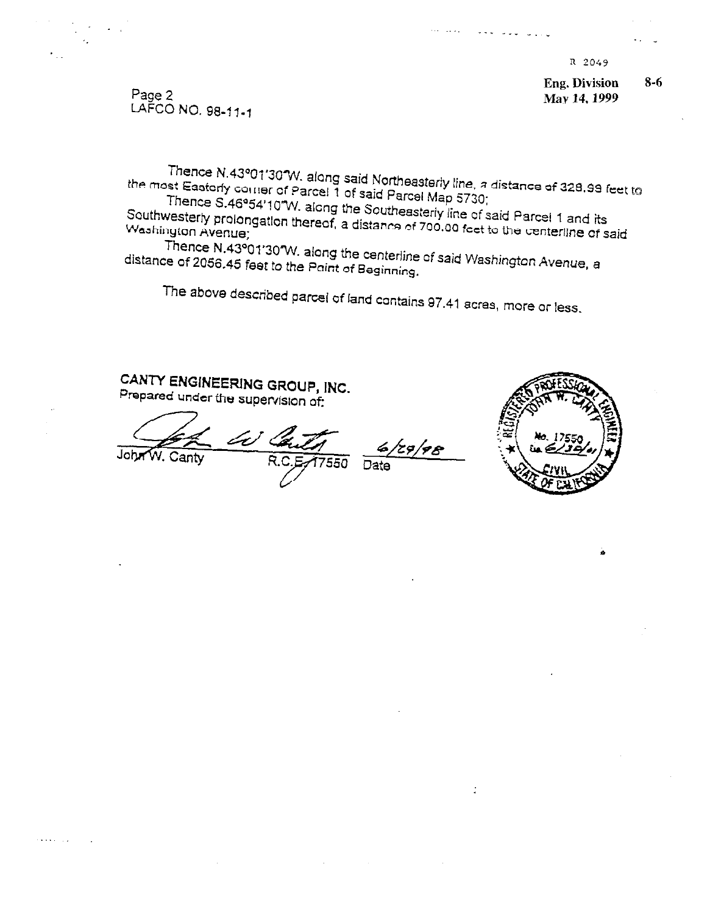**Eng. Division**  $8 - 6$ May 14, 1999

Page 2 LAFCO NO. 98-11-1

Thence N.43º01'30 W. along said Northeasterly line, a distance of 328.99 feet to the most Easterly comer of Parcel 1 of said Parcel Map 5730;

Thence S.46°54'10"W. along the Southeasterly line of said Parcel 1 and its Southwesterly prolongation thereof, a distance of 700.00 feet to the centerline of said Washington Avenue;

Thence N.43°01'30°W. along the centerline of said Washington Avenue, a distance of 2056.45 feet to the Paint of Beginning.

The above described parcel of land contains 97.41 acres, more or less.

# CANTY ENGINEERING GROUP, INC. Prepared under the supervision of:

Le John

Canty

7550

129/98 Date

 $\mathbb{R}^2$ 

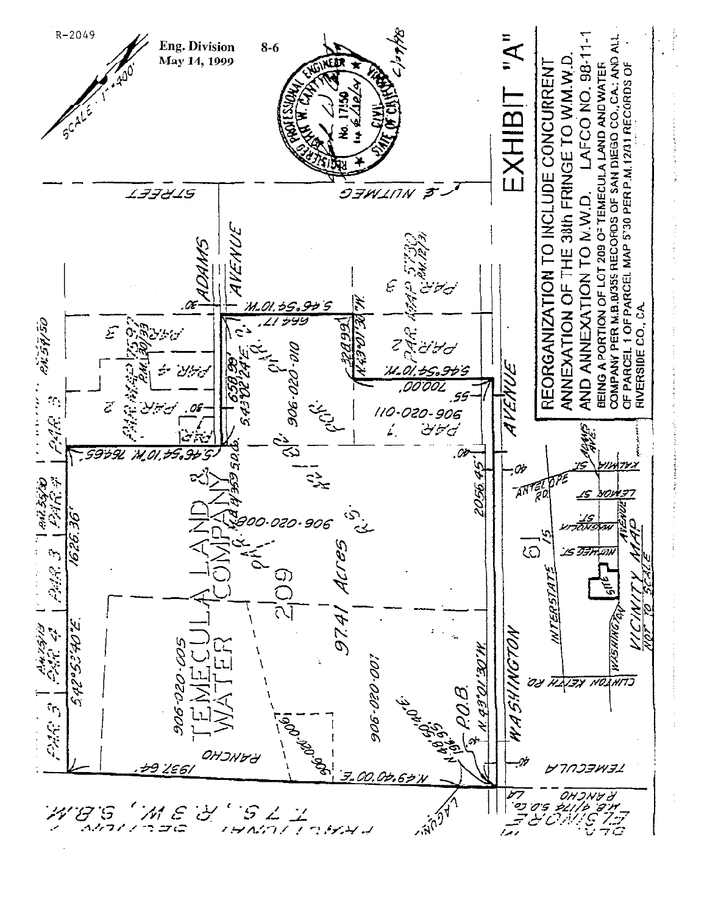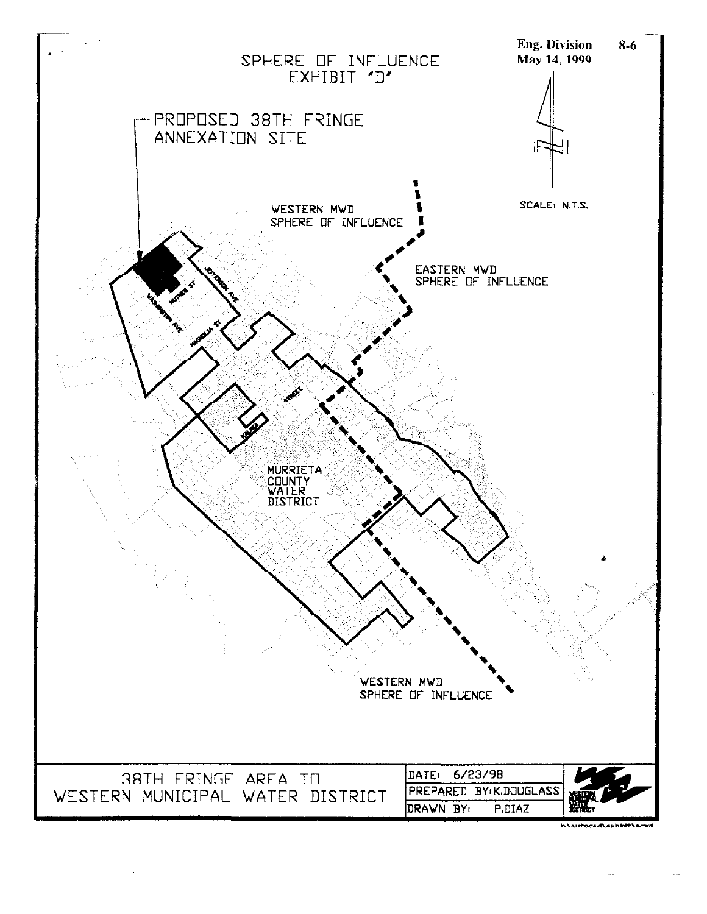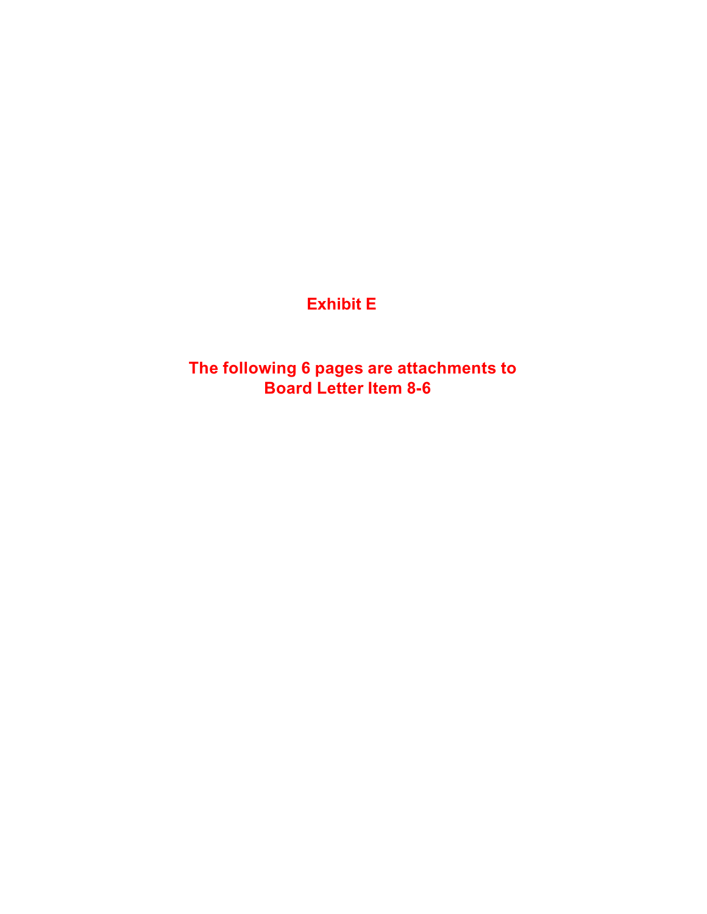# **Exhibit E**

**The following 6 pages are attachments to Board Letter Item 8-6**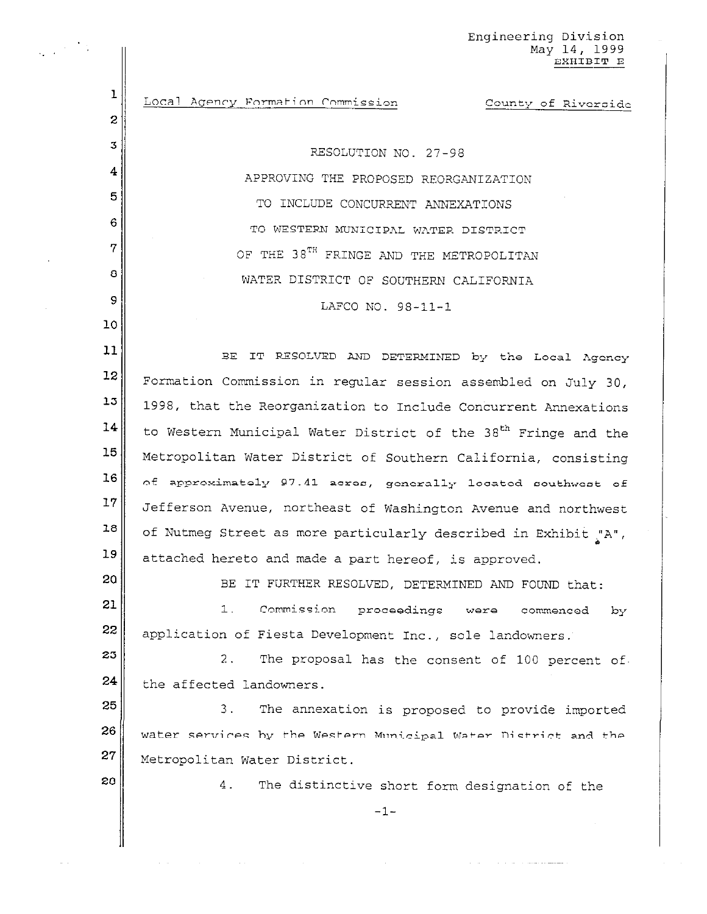Engineering Division May 14, 1999 EXHIBIT E

Local Agency Formation Commission County of Riverside

> RESOLUTION NO. 27-98 APPROVING THE PROPOSED REORGANIZATION TO INCLUDE CONCURRENT ANNEXATIONS TO WESTERN MUNICIPAL WATER DISTRICT OF THE 38TH FRINGE AND THE METROPOLITAN WATER DISTRICT OF SOUTHERN CALIFORNIA LAFCO NO. 98-11-1

 $11$ BE IT RESOLVED AND DETERMINED by the Local Agency 12 Formation Commission in regular session assembled on July 30, 13 1998, that the Reorganization to Include Concurrent Annexations 14 to Western Municipal Water District of the 38<sup>th</sup> Fringe and the 15 Metropolitan Water District of Southern California, consisting 16 of approximately 97.41 acres, generally located southwest of  $17$ Jefferson Avenue, northeast of Washington Avenue and northwest 18 of Nutmeg Street as more particularly described in Exhibit "A", 19 attached hereto and made a part hereof, is approved.

BE IT FURTHER RESOLVED, DETERMINED AND FOUND that:

21 1. Commission proceedings were commenced by 22 application of Fiesta Development Inc., sole landowners.

23 The proposal has the consent of 100 percent of.  $2.$  $24$ the affected landowners.

25 3. The annexation is proposed to provide imported 26 water services by the Western Municipal Water District and the  $27<sub>2</sub>$ Metropolitan Water District.

28

20

ı

 $\overline{c}$ 

 $\overline{3}$ 

4

5

6

7

8

9

 $10$ 

 $4.$ The distinctive short form designation of the

 $-1-$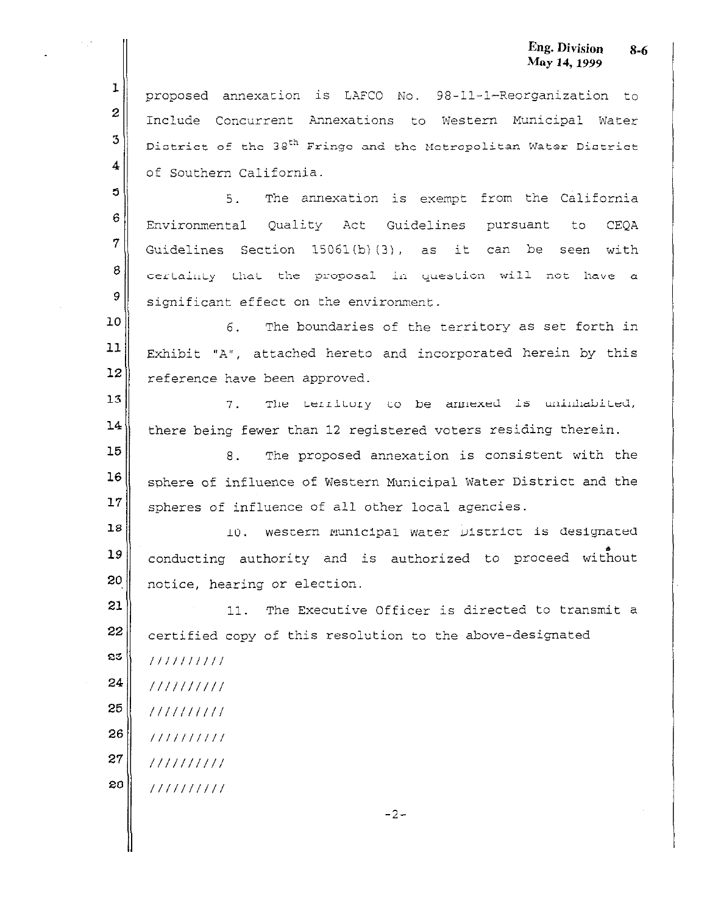#### Eng. Division  $8 - 6$ May 14, 1999

proposed annexation is LAFCO No. 98-11-1-Reorganization to Include Concurrent Annexations to Western Municipal Water District of the 38<sup>th</sup> Fringe and the Metropolitan Water District of Southern California.

 $\overline{5}$ 5. The annexation is exempt from the California 6 Environmental Quality Act Guidelines pursuant  $to$ **CEOA**  $\overline{7}$ Guidelines Section 15061(b)(3), as it can be seen with 8 certainty that the proposal in question will not have a 9 significant effect on the environment.

10 The boundaries of the territory as set forth in 6.  $11$ Exhibit "A", attached hereto and incorporated herein by this  $12$ reference have been approved.

13 The Lerritory to be annexed is uninhabited, 7. 14 there being fewer than 12 registered voters residing therein.

15 The proposed annexation is consistent with the 8. 16 sphere of influence of Western Municipal Water District and the  $17$ spheres of influence of all other local agencies.

18 western Municipal water District is designated 10. 19 conducting authority and is authorized to proceed without 20 notice, hearing or election.

21 11. The Executive Officer is directed to transmit a 22 certified copy of this resolution to the above-designated

23  $1111111111$ 

 $\mathbf{I}$ 

 $\overline{2}$ 

3

4

- 24  $1111111111$
- 25  $1111111111$ 26
- $1111111111$ 27
- $1111111111$ 28
	- $1111111111$

 $-2-$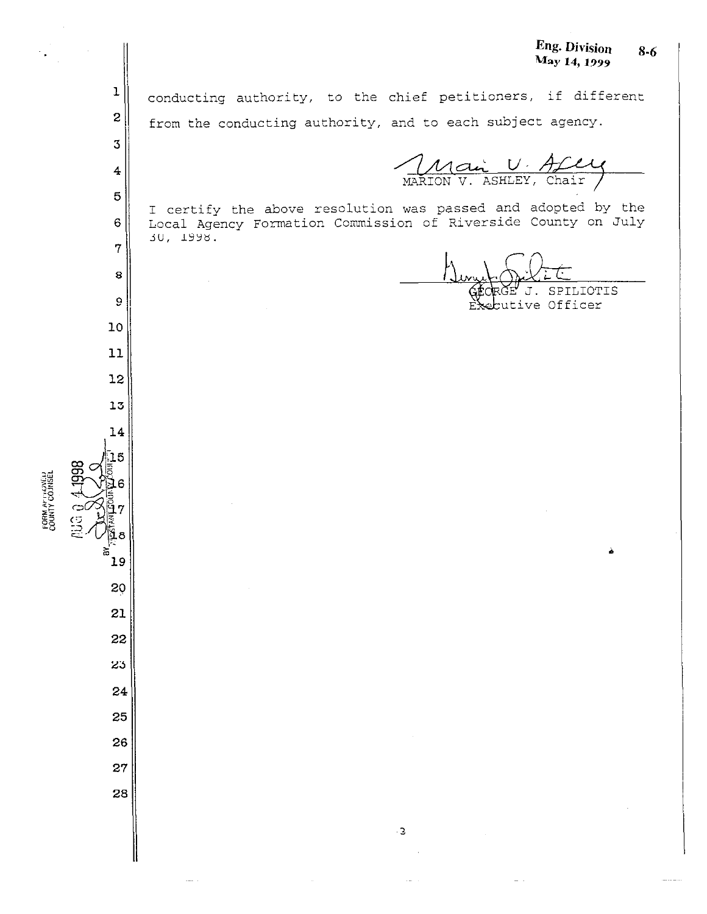Eng. Division  $8 - 6$ May 14, 1999

 $\mathbf{1}$ conducting authority, to the chief petitioners, if different  $\mathbf{z}$ from the conducting authority, and to each subject agency.  ${\tt 3}$ Mai U. All  $\overline{\mathbf{4}}$  $\mathbf 5$ I certify the above resolution was passed and adopted by the Local Agency Formation Commission of Riverside County on July  $\mathbf 6$ 30, 1998.  $\overline{7}$ 8 SPILIOTIS 9 cutive Officer Ĕ.  $10$ 11 12 13  $14$ Ū5 6 7 ĭε 오 19 20 21 22 23 24 25 26 27 28

FORM AFTROVED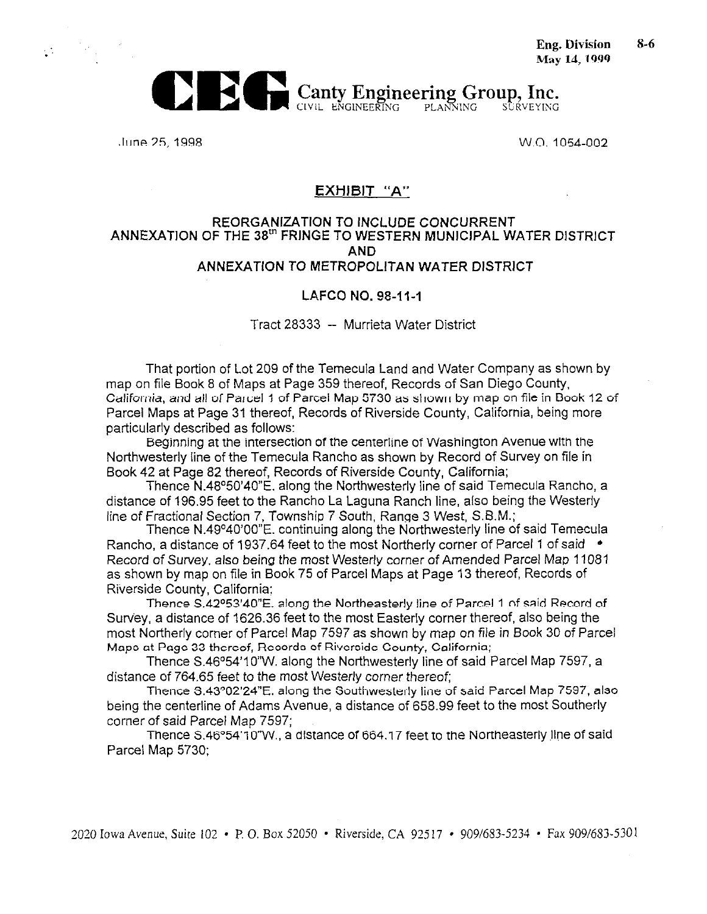

June 25, 1998

 $\mathcal{L}^{\mathcal{L}}$ 

W.O. 1054-002

#### EXHIBIT "A"

#### REORGANIZATION TO INCLUDE CONCURRENT ANNEXATION OF THE 38th FRINGE TO WESTERN MUNICIPAL WATER DISTRICT **AND** ANNEXATION TO METROPOLITAN WATER DISTRICT

#### LAFCO NO. 98-11-1

Tract 28333 -- Murrieta Water District

That portion of Lot 209 of the Temecula Land and Water Company as shown by map on file Book 8 of Maps at Page 359 thereof. Records of San Diego County, California, and all of Parcel 1 of Parcel Map 5730 as shown by map on file in Book 12 of Parcel Maps at Page 31 thereof, Records of Riverside County, California, being more particularly described as follows:

Beginning at the intersection of the centerline of Washington Avenue with the Northwesterly line of the Temecula Rancho as shown by Record of Survey on file in Book 42 at Page 82 thereof. Records of Riverside County. California;

Thence N.48°50'40"E, along the Northwesterly line of said Temecula Rancho, a distance of 196.95 feet to the Rancho La Laguna Ranch line, also being the Westerly line of Fractional Section 7, Township 7 South, Range 3 West, S.B.M.;

Thence N.49°40'00"E, continuing along the Northwesterly line of said Temecula Rancho, a distance of 1937.64 feet to the most Northerly corner of Parcel 1 of said  $\rightarrow$ Record of Survey, also being the most Westerly corner of Amended Parcel Map 11081 as shown by map on file in Book 75 of Parcel Maps at Page 13 thereof, Records of Riverside County, California:

Thence S.42º53'40"E. along the Northeasterly line of Parcel 1 of said Record of Survey, a distance of 1626.36 feet to the most Easterly corner thereof, also being the most Northerly corner of Parcel Map 7597 as shown by map on file in Book 30 of Parcel Maps at Page 33 thereof, Records of Riverside County, California;

Thence S.46°54'10"W. along the Northwesterly line of said Parcel Map 7597, a distance of 764.65 feet to the most Westerly corner thereof:

Thence S.43°02'24"E, along the Southwesterly line of said Parcel Map 7597, also being the centerline of Adams Avenue, a distance of 658.99 feet to the most Southerly corner of said Parcel Map 7597:

Thence S.46°54'10"W., a distance of 664.17 feet to the Northeasterly line of said Parcel Map 5730: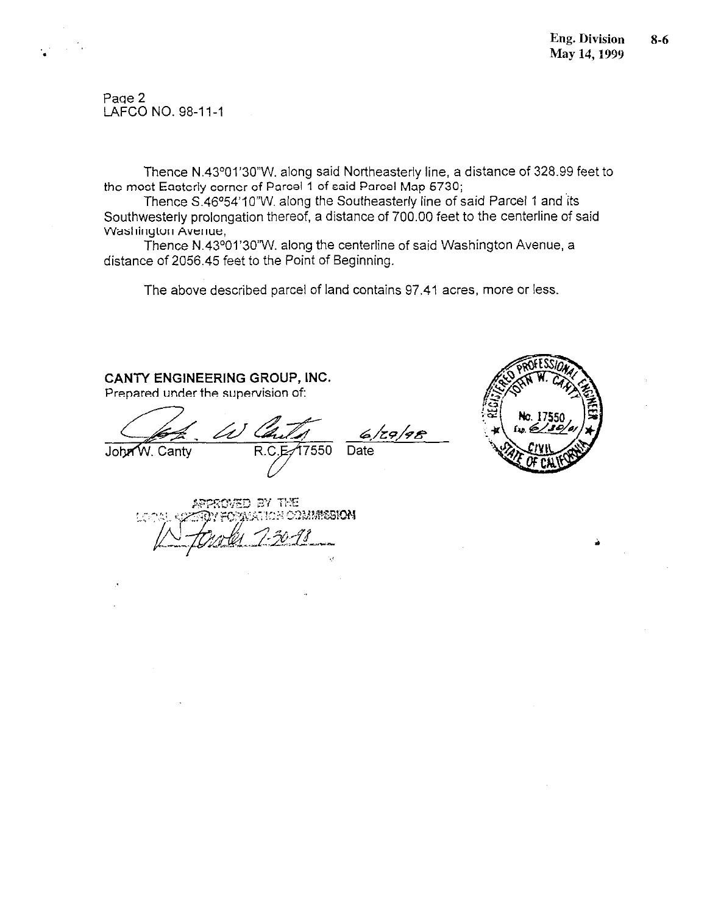Page 2 LAFCO NO. 98-11-1

Thence N.43°01'30"W. along said Northeasterly line, a distance of 328.99 feet to the most Easterly corner of Parcel 1 of said Parcel Map 5730;

Thence S.46°54'10"W. along the Southeasterly line of said Parcel 1 and its Southwesterly prolongation thereof, a distance of 700.00 feet to the centerline of said Washington Avenue,

Thence N.43°01'30"W. along the centerline of said Washington Avenue, a distance of 2056.45 feet to the Point of Beginning.

The above described parcel of land contains 97.41 acres, more or less.

#### CANTY ENGINEERING GROUP, INC.

Prepared under the supervision of:

John W. Canty R.C

6/29/98 17550 Date



APPROVED BY THE ATION COMMISSION ų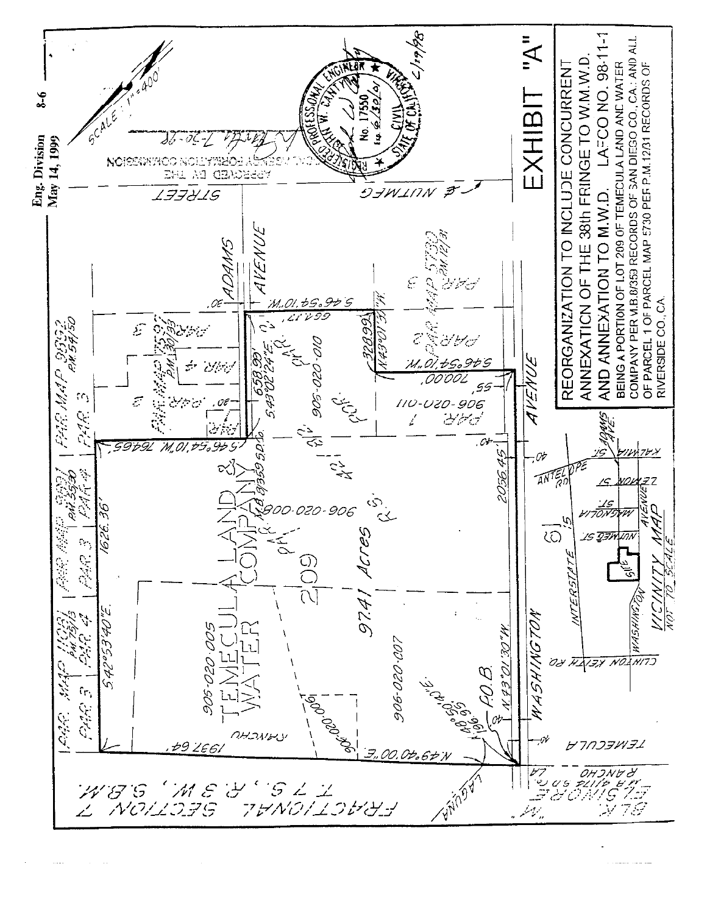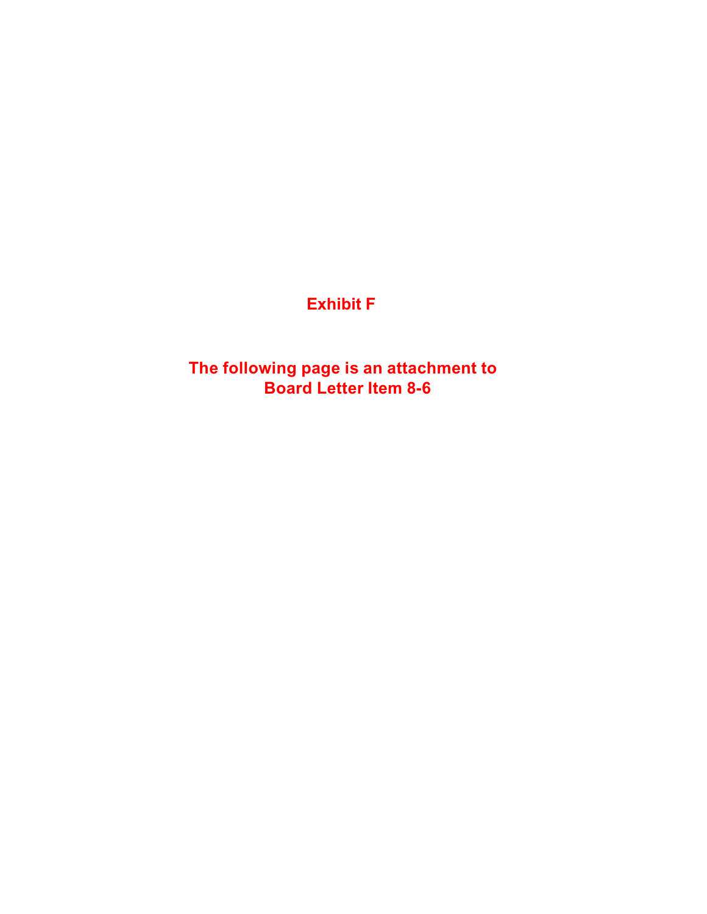# **Exhibit F**

**The following page is an attachment to Board Letter Item 8-6**